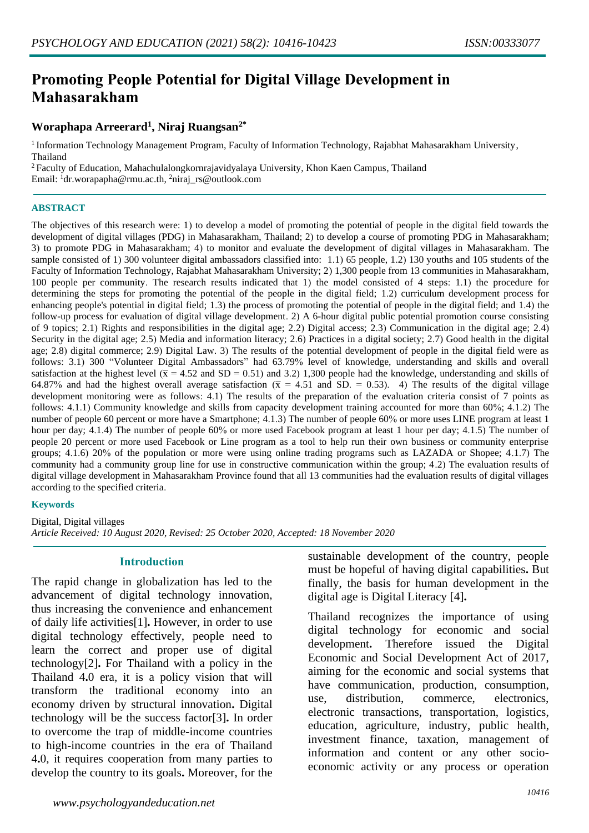# **Promoting People Potential for Digital Village Development in Mahasarakham**

## **Woraphapa Arreerard<sup>1</sup> , Niraj Ruangsan2\***

<sup>1</sup> Information Technology Management Program, Faculty of Information Technology, Rajabhat Mahasarakham University, Thailand

<sup>2</sup>Faculty of Education, Mahachulalongkornrajavidyalaya University, Khon Kaen Campus, Thailand Email: <sup>1</sup>dr.worapapha@rmu.ac.th, <sup>2</sup>niraj\_rs@outlook.com

#### **ABSTRACT**

The objectives of this research were: 1) to develop a model of promoting the potential of people in the digital field towards the development of digital villages (PDG) in Mahasarakham, Thailand; 2) to develop a course of promoting PDG in Mahasarakham; 3) to promote PDG in Mahasarakham; 4) to monitor and evaluate the development of digital villages in Mahasarakham. The sample consisted of 1) 300 volunteer digital ambassadors classified into: 1.1) 65 people, 1.2) 130 youths and 105 students of the Faculty of Information Technology, Rajabhat Mahasarakham University; 2) 1,300 people from 13 communities in Mahasarakham, 100 people per community. The research results indicated that 1) the model consisted of 4 steps: 1.1) the procedure for determining the steps for promoting the potential of the people in the digital field; 1.2) curriculum development process for enhancing people's potential in digital field; 1.3) the process of promoting the potential of people in the digital field; and 1.4) the follow-up process for evaluation of digital village development. 2) A 6-hour digital public potential promotion course consisting of 9 topics; 2.1) Rights and responsibilities in the digital age; 2.2) Digital access; 2.3) Communication in the digital age; 2.4) Security in the digital age; 2.5) Media and information literacy; 2.6) Practices in a digital society; 2.7) Good health in the digital age; 2.8) digital commerce; 2.9) Digital Law. 3) The results of the potential development of people in the digital field were as follows: 3.1) 300 "Volunteer Digital Ambassadors" had 63.79% level of knowledge, understanding and skills and overall satisfaction at the highest level ( $\bar{x}$  = 4.52 and SD = 0.51) and 3.2) 1,300 people had the knowledge, understanding and skills of 64.87% and had the highest overall average satisfaction ( $\bar{x}$  = 4.51 and SD. = 0.53). 4) The results of the digital village development monitoring were as follows: 4.1) The results of the preparation of the evaluation criteria consist of 7 points as follows: 4.1.1) Community knowledge and skills from capacity development training accounted for more than 60%; 4.1.2) The number of people 60 percent or more have a Smartphone; 4.1.3) The number of people 60% or more uses LINE program at least 1 hour per day; 4.1.4) The number of people 60% or more used Facebook program at least 1 hour per day; 4.1.5) The number of people 20 percent or more used Facebook or Line program as a tool to help run their own business or community enterprise groups; 4.1.6) 20% of the population or more were using online trading programs such as LAZADA or Shopee; 4.1.7) The community had a community group line for use in constructive communication within the group; 4.2) The evaluation results of digital village development in Mahasarakham Province found that all 13 communities had the evaluation results of digital villages according to the specified criteria.

#### **Keywords**

Digital, Digital villages *Article Received: 10 August 2020, Revised: 25 October 2020, Accepted: 18 November 2020*

#### **Introduction**

The rapid change in globalization has led to the advancement of digital technology innovation, thus increasing the convenience and enhancement of daily life activities[1]**.** However, in order to use digital technology effectively, people need to learn the correct and proper use of digital technology[2]**.** For Thailand with a policy in the Thailand 4**.**0 era, it is a policy vision that will transform the traditional economy into an economy driven by structural innovation**.** Digital technology will be the success factor[3]**.** In order to overcome the trap of middle**-**income countries to high**-**income countries in the era of Thailand 4**.**0, it requires cooperation from many parties to develop the country to its goals**.** Moreover, for the sustainable development of the country, people must be hopeful of having digital capabilities**.** But finally, the basis for human development in the digital age is Digital Literacy [4]**.** 

Thailand recognizes the importance of using digital technology for economic and social development**.** Therefore issued the Digital Economic and Social Development Act of 2017, aiming for the economic and social systems that have communication, production, consumption, use, distribution, commerce, electronics, electronic transactions, transportation, logistics, education, agriculture, industry, public health, investment finance, taxation, management of information and content or any other socioeconomic activity or any process or operation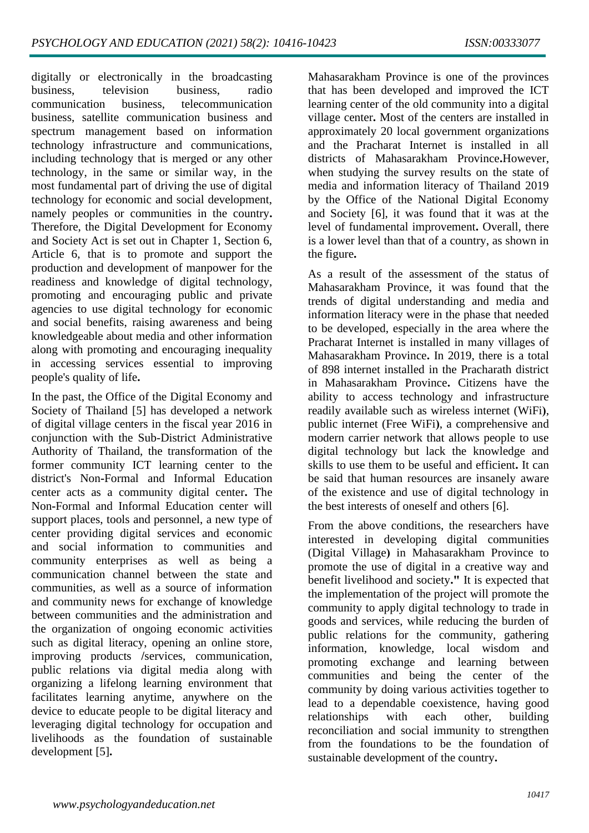digitally or electronically in the broadcasting business, television business, radio communication business, telecommunication business, satellite communication business and spectrum management based on information technology infrastructure and communications, including technology that is merged or any other technology, in the same or similar way, in the most fundamental part of driving the use of digital technology for economic and social development, namely peoples or communities in the country**.**  Therefore, the Digital Development for Economy and Society Act is set out in Chapter 1, Section 6, Article 6, that is to promote and support the production and development of manpower for the readiness and knowledge of digital technology, promoting and encouraging public and private agencies to use digital technology for economic and social benefits, raising awareness and being knowledgeable about media and other information along with promoting and encouraging inequality in accessing services essential to improving people's quality of life**.** 

In the past, the Office of the Digital Economy and Society of Thailand [5] has developed a network of digital village centers in the fiscal year 2016 in conjunction with the Sub-District Administrative Authority of Thailand, the transformation of the former community ICT learning center to the district's Non**-**Formal and Informal Education center acts as a community digital center**.** The Non**-**Formal and Informal Education center will support places, tools and personnel, a new type of center providing digital services and economic and social information to communities and community enterprises as well as being a communication channel between the state and communities, as well as a source of information and community news for exchange of knowledge between communities and the administration and the organization of ongoing economic activities such as digital literacy, opening an online store, improving products **/**services, communication, public relations via digital media along with organizing a lifelong learning environment that facilitates learning anytime, anywhere on the device to educate people to be digital literacy and leveraging digital technology for occupation and livelihoods as the foundation of sustainable development [5]**.** 

Mahasarakham Province is one of the provinces that has been developed and improved the ICT learning center of the old community into a digital village center**.** Most of the centers are installed in approximately 20 local government organizations and the Pracharat Internet is installed in all districts of Mahasarakham Province**.**However, when studying the survey results on the state of media and information literacy of Thailand 2019 by the Office of the National Digital Economy and Society [6], it was found that it was at the level of fundamental improvement**.** Overall, there is a lower level than that of a country, as shown in the figure**.**

As a result of the assessment of the status of Mahasarakham Province, it was found that the trends of digital understanding and media and information literacy were in the phase that needed to be developed, especially in the area where the Pracharat Internet is installed in many villages of Mahasarakham Province**.** In 2019, there is a total of 898 internet installed in the Pracharath district in Mahasarakham Province**.** Citizens have the ability to access technology and infrastructure readily available such as wireless internet (WiFi**)**, public internet (Free WiFi**)**, a comprehensive and modern carrier network that allows people to use digital technology but lack the knowledge and skills to use them to be useful and efficient**.** It can be said that human resources are insanely aware of the existence and use of digital technology in the best interests of oneself and others [6].

From the above conditions, the researchers have interested in developing digital communities (Digital Village**)** in Mahasarakham Province to promote the use of digital in a creative way and benefit livelihood and society**."** It is expected that the implementation of the project will promote the community to apply digital technology to trade in goods and services, while reducing the burden of public relations for the community, gathering information, knowledge, local wisdom and promoting exchange and learning between communities and being the center of the community by doing various activities together to lead to a dependable coexistence, having good relationships with each other, building reconciliation and social immunity to strengthen from the foundations to be the foundation of sustainable development of the country**.**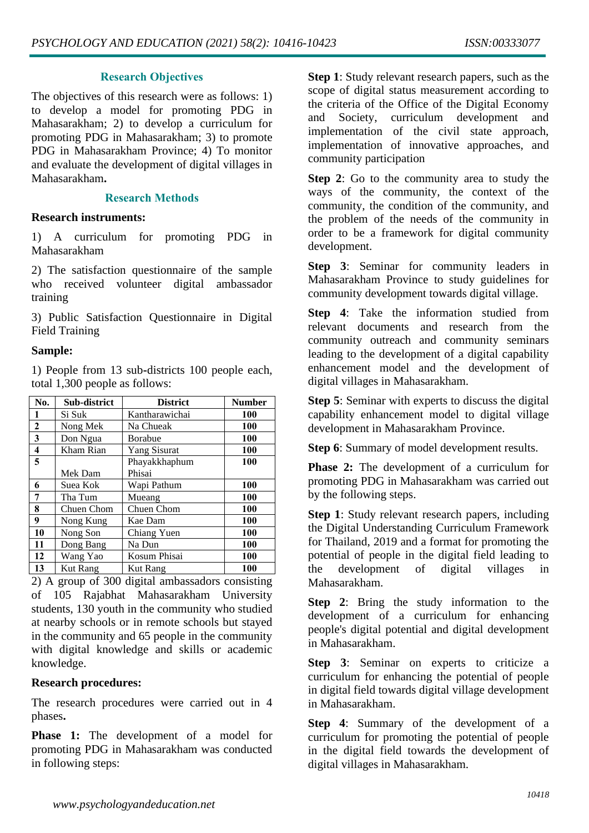## **Research Objectives**

The objectives of this research were as follows: 1) to develop a model for promoting PDG in Mahasarakham; 2) to develop a curriculum for promoting PDG in Mahasarakham; 3) to promote PDG in Mahasarakham Province; 4) To monitor and evaluate the development of digital villages in Mahasarakham**.**

# **Research Methods**

## **Research instruments:**

1) A curriculum for promoting PDG in Mahasarakham

2) The satisfaction questionnaire of the sample who received volunteer digital ambassador training

3) Public Satisfaction Questionnaire in Digital Field Training

# **Sample:**

1) People from 13 sub**-**districts 100 people each, total 1,300 people as follows:

| No.          | Sub-district    | <b>District</b>     | <b>Number</b> |
|--------------|-----------------|---------------------|---------------|
| 1            | Si Suk          | Kantharawichai      | 100           |
| $\mathbf{2}$ | Nong Mek        | Na Chueak           | 100           |
| 3            | Don Ngua        | <b>Borabue</b>      | 100           |
| 4            | Kham Rian       | <b>Yang Sisurat</b> | 100           |
| 5            |                 | Phayakkhaphum       | 100           |
|              | Mek Dam         | Phisai              |               |
| 6            | Suea Kok        | Wapi Pathum         | 100           |
| 7            | Tha Tum         | Mueang              | 100           |
| 8            | Chuen Chom      | Chuen Chom          | 100           |
| 9            | Nong Kung       | Kae Dam             | 100           |
| 10           | Nong Son        | Chiang Yuen         | 100           |
| 11           | Dong Bang       | Na Dun              | 100           |
| 12           | Wang Yao        | Kosum Phisai        | 100           |
| 13           | <b>Kut Rang</b> | Kut Rang            | 100           |

2) A group of 300 digital ambassadors consisting of 105 Rajabhat Mahasarakham University students, 130 youth in the community who studied at nearby schools or in remote schools but stayed in the community and 65 people in the community with digital knowledge and skills or academic knowledge.

# **Research procedures:**

The research procedures were carried out in 4 phases**.** 

**Phase 1:** The development of a model for promoting PDG in Mahasarakham was conducted in following steps:

**Step 1**: Study relevant research papers, such as the scope of digital status measurement according to the criteria of the Office of the Digital Economy and Society, curriculum development and implementation of the civil state approach, implementation of innovative approaches, and community participation

**Step 2**: Go to the community area to study the ways of the community, the context of the community, the condition of the community, and the problem of the needs of the community in order to be a framework for digital community development.

**Step 3**: Seminar for community leaders in Mahasarakham Province to study guidelines for community development towards digital village.

**Step 4**: Take the information studied from relevant documents and research from the community outreach and community seminars leading to the development of a digital capability enhancement model and the development of digital villages in Mahasarakham.

**Step 5**: Seminar with experts to discuss the digital capability enhancement model to digital village development in Mahasarakham Province.

**Step 6**: Summary of model development results.

**Phase 2:** The development of a curriculum for promoting PDG in Mahasarakham was carried out by the following steps.

**Step 1**: Study relevant research papers, including the Digital Understanding Curriculum Framework for Thailand, 2019 and a format for promoting the potential of people in the digital field leading to the development of digital villages in Mahasarakham.

**Step 2**: Bring the study information to the development of a curriculum for enhancing people's digital potential and digital development in Mahasarakham.

**Step 3**: Seminar on experts to criticize a curriculum for enhancing the potential of people in digital field towards digital village development in Mahasarakham.

**Step 4**: Summary of the development of a curriculum for promoting the potential of people in the digital field towards the development of digital villages in Mahasarakham.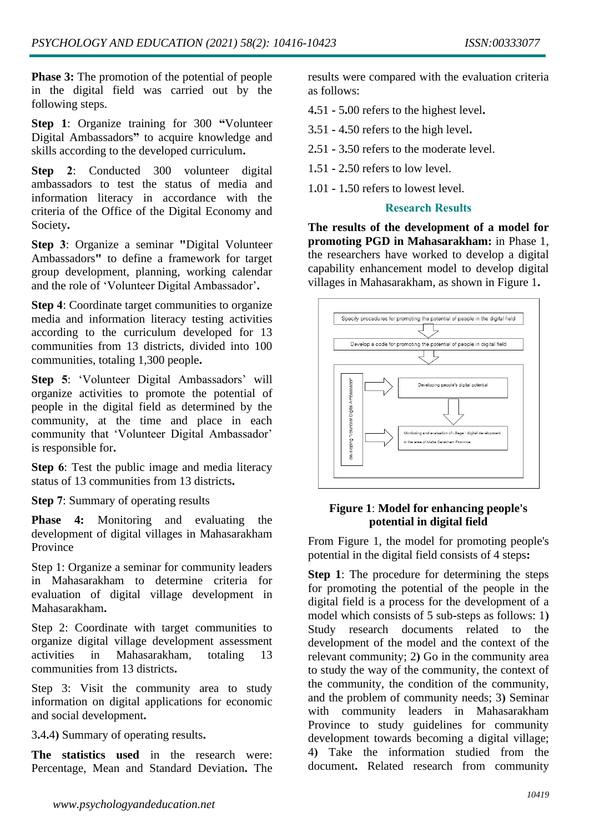**Phase 3:** The promotion of the potential of people in the digital field was carried out by the following steps.

**Step 1**: Organize training for 300 **"**Volunteer Digital Ambassadors**"** to acquire knowledge and skills according to the developed curriculum**.** 

**Step 2:** Conducted 300 volunteer digital ambassadors to test the status of media and information literacy in accordance with the criteria of the Office of the Digital Economy and Society**.** 

**Step 3**: Organize a seminar **"**Digital Volunteer Ambassadors**"** to define a framework for target group development, planning, working calendar and the role of 'Volunteer Digital Ambassador'**.** 

**Step 4**: Coordinate target communities to organize media and information literacy testing activities according to the curriculum developed for 13 communities from 13 districts, divided into 100 communities, totaling 1,300 people**.** 

**Step 5**: 'Volunteer Digital Ambassadors' will organize activities to promote the potential of people in the digital field as determined by the community, at the time and place in each community that 'Volunteer Digital Ambassador' is responsible for**.** 

**Step 6**: Test the public image and media literacy status of 13 communities from 13 districts**.** 

**Step 7**: Summary of operating results

**Phase 4:** Monitoring and evaluating the development of digital villages in Mahasarakham Province

Step 1: Organize a seminar for community leaders in Mahasarakham to determine criteria for evaluation of digital village development in Mahasarakham**.** 

Step 2: Coordinate with target communities to organize digital village development assessment activities in Mahasarakham, totaling 13 communities from 13 districts**.** 

Step 3: Visit the community area to study information on digital applications for economic and social development**.** 

3**.**4**.**4**)** Summary of operating results**.** 

**The statistics used** in the research were: Percentage, Mean and Standard Deviation**.** The results were compared with the evaluation criteria as follows:

- 4**.**51 **-** 5**.**00 refers to the highest level**.**
- 3**.**51 **-** 4**.**50 refers to the high level**.**
- 2**.**51 **-** 3**.**50 refers to the moderate level.
- 1**.**51 **-** 2**.**50 refers to low level.
- 1**.**01 **-** 1**.**50 refers to lowest level.

## **Research Results**

**The results of the development of a model for promoting PGD in Mahasarakham:** in Phase 1, the researchers have worked to develop a digital capability enhancement model to develop digital villages in Mahasarakham, as shown in Figure 1**.** 



## **Figure 1**: **Model for enhancing people's potential in digital field**

From Figure 1, the model for promoting people's potential in the digital field consists of 4 steps**:** 

**Step 1**: The procedure for determining the steps for promoting the potential of the people in the digital field is a process for the development of a model which consists of 5 sub**-**steps as follows: 1**)**  Study research documents related to the development of the model and the context of the relevant community; 2**)** Go in the community area to study the way of the community, the context of the community, the condition of the community, and the problem of community needs; 3**)** Seminar with community leaders in Mahasarakham Province to study guidelines for community development towards becoming a digital village; 4**)** Take the information studied from the document**.** Related research from community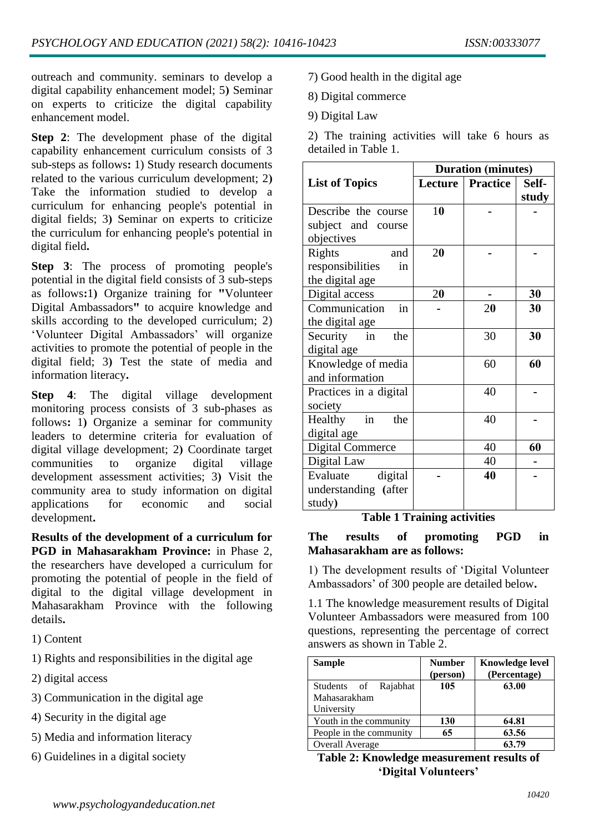outreach and community. seminars to develop a digital capability enhancement model; 5**)** Seminar on experts to criticize the digital capability enhancement model.

**Step 2**: The development phase of the digital capability enhancement curriculum consists of 3 sub**-**steps as follows**:** 1) Study research documents related to the various curriculum development; 2**)**  Take the information studied to develop a curriculum for enhancing people's potential in digital fields; 3**)** Seminar on experts to criticize the curriculum for enhancing people's potential in digital field**.** 

**Step 3**: The process of promoting people's potential in the digital field consists of 3 sub**-**steps as follows**:**1**)** Organize training for **"**Volunteer Digital Ambassadors**"** to acquire knowledge and skills according to the developed curriculum; 2) 'Volunteer Digital Ambassadors' will organize activities to promote the potential of people in the digital field; 3**)** Test the state of media and information literacy**.** 

**Step 4**: The digital village development monitoring process consists of 3 sub**-**phases as follows**:** 1**)** Organize a seminar for community leaders to determine criteria for evaluation of digital village development; 2**)** Coordinate target communities to organize digital village development assessment activities; 3**)** Visit the community area to study information on digital applications for economic and social development**.** 

**Results of the development of a curriculum for PGD in Mahasarakham Province:** in Phase 2, the researchers have developed a curriculum for promoting the potential of people in the field of digital to the digital village development in Mahasarakham Province with the following details**.** 

- 1) Content
- 1) Rights and responsibilities in the digital age
- 2) digital access
- 3) Communication in the digital age
- 4) Security in the digital age
- 5) Media and information literacy
- 6) Guidelines in a digital society
- 7) Good health in the digital age
- 8) Digital commerce
- 9) Digital Law

2) The training activities will take 6 hours as detailed in Table 1.

|                                          | <b>Duration (minutes)</b> |                 |       |  |  |  |  |  |
|------------------------------------------|---------------------------|-----------------|-------|--|--|--|--|--|
| <b>List of Topics</b>                    | Lecture                   | <b>Practice</b> | Self- |  |  |  |  |  |
|                                          |                           |                 | study |  |  |  |  |  |
| Describe the course                      | 10                        |                 |       |  |  |  |  |  |
| subject and course                       |                           |                 |       |  |  |  |  |  |
| objectives                               |                           |                 |       |  |  |  |  |  |
| Rights<br>and                            | 20                        |                 |       |  |  |  |  |  |
| responsibilities<br>in                   |                           |                 |       |  |  |  |  |  |
| the digital age                          |                           |                 |       |  |  |  |  |  |
| Digital access                           | 20                        |                 | 30    |  |  |  |  |  |
| in<br>Communication                      |                           | 20              | 30    |  |  |  |  |  |
| the digital age                          |                           |                 |       |  |  |  |  |  |
| in the<br>Security                       |                           | 30              | 30    |  |  |  |  |  |
| digital age                              |                           |                 |       |  |  |  |  |  |
| Knowledge of media                       |                           | 60              | 60    |  |  |  |  |  |
| and information                          |                           |                 |       |  |  |  |  |  |
| Practices in a digital                   |                           | 40              |       |  |  |  |  |  |
| society                                  |                           |                 |       |  |  |  |  |  |
| $\overline{\text{in}}$<br>Healthy<br>the |                           | 40              |       |  |  |  |  |  |
| digital age                              |                           |                 |       |  |  |  |  |  |
| <b>Digital Commerce</b>                  |                           | 40              | 60    |  |  |  |  |  |
| Digital Law                              |                           | 40              |       |  |  |  |  |  |
| digital<br>Evaluate                      |                           | 40              |       |  |  |  |  |  |
| understanding (after                     |                           |                 |       |  |  |  |  |  |
| study)                                   |                           |                 |       |  |  |  |  |  |

**Table 1 Training activities**

**The results of promoting PGD in Mahasarakham are as follows:**

1) The development results of 'Digital Volunteer Ambassadors' of 300 people are detailed below**.** 

1.1 The knowledge measurement results of Digital Volunteer Ambassadors were measured from 100 questions, representing the percentage of correct answers as shown in Table 2.

| <b>Sample</b>           | <b>Number</b><br>(person) | <b>Knowledge level</b><br>(Percentage) |
|-------------------------|---------------------------|----------------------------------------|
| Students of Rajabhat    | 105                       | 63.00                                  |
| Mahasarakham            |                           |                                        |
| University              |                           |                                        |
| Youth in the community  | 130                       | 64.81                                  |
| People in the community | 65                        | 63.56                                  |
| <b>Overall Average</b>  |                           | 63.79                                  |

**Table 2: Knowledge measurement results of 'Digital Volunteers'**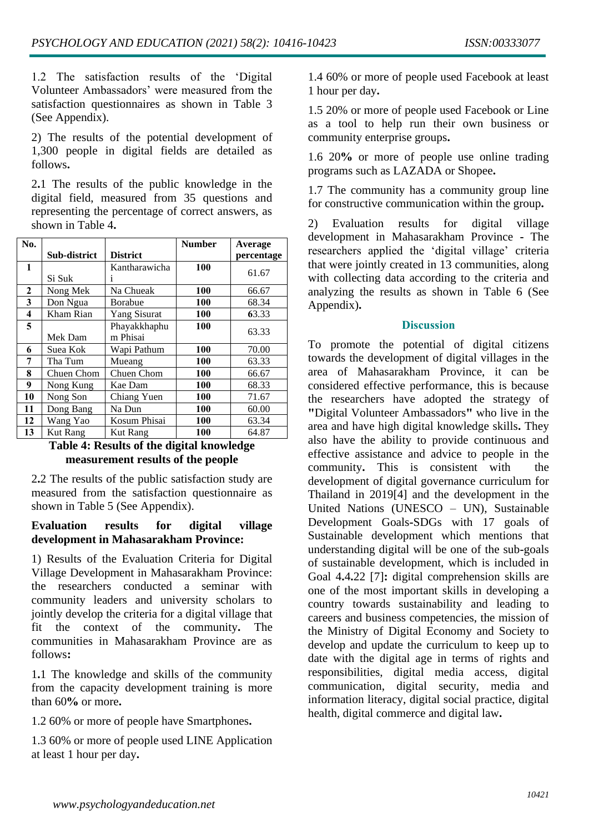1.2 The satisfaction results of the 'Digital Volunteer Ambassadors' were measured from the satisfaction questionnaires as shown in Table 3 (See Appendix).

2) The results of the potential development of 1,300 people in digital fields are detailed as follows**.** 

2**.**1 The results of the public knowledge in the digital field, measured from 35 questions and representing the percentage of correct answers, as shown in Table 4**.** 

| No.          |                 |                     | Number     | Average    |
|--------------|-----------------|---------------------|------------|------------|
|              | Sub-district    | <b>District</b>     |            | percentage |
| 1            |                 | Kantharawicha       | 100        | 61.67      |
|              | Si Suk          | 1                   |            |            |
| $\mathbf{2}$ | Nong Mek        | Na Chueak           | 100        | 66.67      |
| 3            | Don Ngua        | Borabue             | 100        | 68.34      |
| 4            | Kham Rian       | <b>Yang Sisurat</b> | 100        | 63.33      |
| 5            |                 | Phayakkhaphu        | 100        |            |
|              | Mek Dam         | m Phisai            |            | 63.33      |
| 6            | Suea Kok        | Wapi Pathum         | 100        | 70.00      |
| 7            | Tha Tum         | Mueang              | <b>100</b> | 63.33      |
| 8            | Chuen Chom      | Chuen Chom          | 100        | 66.67      |
| 9            | Nong Kung       | Kae Dam             | 100        | 68.33      |
| 10           | Nong Son        | Chiang Yuen         | <b>100</b> | 71.67      |
| 11           | Dong Bang       | Na Dun              | 100        | 60.00      |
| 12           | Wang Yao        | Kosum Phisai        | 100        | 63.34      |
| 13           | <b>Kut Rang</b> | <b>Kut Rang</b>     | 100        | 64.87      |

# **Table 4: Results of the digital knowledge measurement results of the people**

2**.**2 The results of the public satisfaction study are measured from the satisfaction questionnaire as shown in Table 5 (See Appendix).

# **Evaluation results for digital village development in Mahasarakham Province:**

1) Results of the Evaluation Criteria for Digital Village Development in Mahasarakham Province: the researchers conducted a seminar with community leaders and university scholars to jointly develop the criteria for a digital village that fit the context of the community**.** The communities in Mahasarakham Province are as follows**:** 

1**.**1 The knowledge and skills of the community from the capacity development training is more than 60**%** or more**.** 

1.2 60% or more of people have Smartphones**.** 

1.3 60% or more of people used LINE Application at least 1 hour per day**.** 

1.4 60% or more of people used Facebook at least 1 hour per day**.** 

1.5 20% or more of people used Facebook or Line as a tool to help run their own business or community enterprise groups**.** 

1.6 20**%** or more of people use online trading programs such as LAZADA or Shopee**.** 

1.7 The community has a community group line for constructive communication within the group**.** 

2) Evaluation results for digital village development in Mahasarakham Province **-** The researchers applied the 'digital village' criteria that were jointly created in 13 communities, along with collecting data according to the criteria and analyzing the results as shown in Table 6 (See Appendix)**.**

## **Discussion**

To promote the potential of digital citizens towards the development of digital villages in the area of Mahasarakham Province, it can be considered effective performance, this is because the researchers have adopted the strategy of **"**Digital Volunteer Ambassadors**"** who live in the area and have high digital knowledge skills**.** They also have the ability to provide continuous and effective assistance and advice to people in the community**.** This is consistent with the development of digital governance curriculum for Thailand in 2019[4] and the development in the United Nations (UNESCO – UN), Sustainable Development Goals**-**SDGs with 17 goals of Sustainable development which mentions that understanding digital will be one of the sub**-**goals of sustainable development, which is included in Goal 4**.**4**.**22 [7]**:** digital comprehension skills are one of the most important skills in developing a country towards sustainability and leading to careers and business competencies, the mission of the Ministry of Digital Economy and Society to develop and update the curriculum to keep up to date with the digital age in terms of rights and responsibilities, digital media access, digital communication, digital security, media and information literacy, digital social practice, digital health, digital commerce and digital law**.**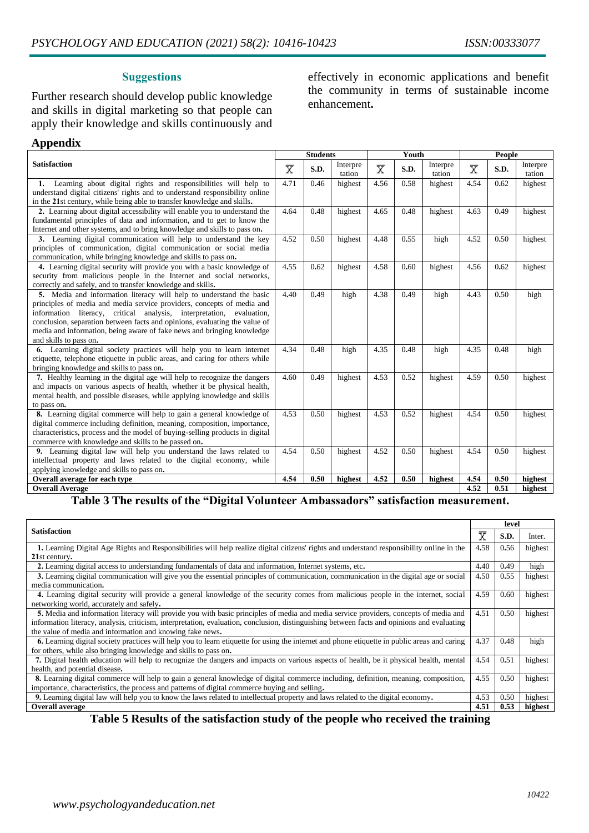## **Suggestions**

Further research should develop public knowledge and skills in digital marketing so that people can apply their knowledge and skills continuously and

## effectively in economic applications and benefit the community in terms of sustainable income enhancement**.**

#### **Appendix**

|                                                                                                                                                                                                                                                                                                                                                                                                         |                         | <b>Students</b> |                    |                         | Youth |                    |                         | <b>People</b> |                    |  |
|---------------------------------------------------------------------------------------------------------------------------------------------------------------------------------------------------------------------------------------------------------------------------------------------------------------------------------------------------------------------------------------------------------|-------------------------|-----------------|--------------------|-------------------------|-------|--------------------|-------------------------|---------------|--------------------|--|
| <b>Satisfaction</b>                                                                                                                                                                                                                                                                                                                                                                                     | $\overline{\mathrm{x}}$ | S.D.            | Interpre<br>tation | $\overline{\mathrm{x}}$ | S.D.  | Interpre<br>tation | $\overline{\mathrm{x}}$ | S.D.          | Interpre<br>tation |  |
| 1. Learning about digital rights and responsibilities will help to<br>understand digital citizens' rights and to understand responsibility online<br>in the 21st century, while being able to transfer knowledge and skills.                                                                                                                                                                            | 4.71                    | 0.46            | highest            | 4.56                    | 0.58  | highest            | 4.54                    | 0.62          | highest            |  |
| 2. Learning about digital accessibility will enable you to understand the<br>fundamental principles of data and information, and to get to know the<br>Internet and other systems, and to bring knowledge and skills to pass on.                                                                                                                                                                        | 4.64                    | 0.48            | highest            | 4.65                    | 0.48  | highest            | 4.63                    | 0.49          | highest            |  |
| 3. Learning digital communication will help to understand the key<br>principles of communication, digital communication or social media<br>communication, while bringing knowledge and skills to pass on.                                                                                                                                                                                               | 4.52                    | 0.50            | highest            | 4.48                    | 0.55  | high               | 4.52                    | 0.50          | highest            |  |
| 4. Learning digital security will provide you with a basic knowledge of<br>security from malicious people in the Internet and social networks,<br>correctly and safely, and to transfer knowledge and skills.                                                                                                                                                                                           | 4.55                    | 0.62            | highest            | 4.58                    | 0.60  | highest            | 4.56                    | 0.62          | highest            |  |
| 5. Media and information literacy will help to understand the basic<br>principles of media and media service providers, concepts of media and<br>information literacy, critical analysis, interpretation, evaluation,<br>conclusion, separation between facts and opinions, evaluating the value of<br>media and information, being aware of fake news and bringing knowledge<br>and skills to pass on. | 4.40                    | 0.49            | high               | 4.38                    | 0.49  | high               | 4.43                    | 0.50          | high               |  |
| 6. Learning digital society practices will help you to learn internet<br>etiquette, telephone etiquette in public areas, and caring for others while<br>bringing knowledge and skills to pass on.                                                                                                                                                                                                       | 4.34                    | 0.48            | high               | 4.35                    | 0.48  | high               | 4.35                    | 0.48          | high               |  |
| 7. Healthy learning in the digital age will help to recognize the dangers<br>and impacts on various aspects of health, whether it be physical health,<br>mental health, and possible diseases, while applying knowledge and skills<br>to pass on.                                                                                                                                                       | 4.60                    | 0.49            | highest            | 4.53                    | 0.52  | highest            | 4.59                    | 0.50          | highest            |  |
| 8. Learning digital commerce will help to gain a general knowledge of<br>digital commerce including definition, meaning, composition, importance,<br>characteristics, process and the model of buying-selling products in digital<br>commerce with knowledge and skills to be passed on.                                                                                                                | 4.53                    | 0.50            | highest            | 4.53                    | 0.52  | highest            | 4.54                    | 0.50          | highest            |  |
| 9. Learning digital law will help you understand the laws related to<br>intellectual property and laws related to the digital economy, while<br>applying knowledge and skills to pass on.                                                                                                                                                                                                               | 4.54                    | 0.50            | highest            | 4.52                    | 0.50  | highest            | 4.54                    | 0.50          | highest            |  |
| Overall average for each type                                                                                                                                                                                                                                                                                                                                                                           |                         | 0.50            | highest            | 4.52                    | 0.50  | highest            | 4.54                    | 0.50          | highest            |  |
| <b>Overall Average</b>                                                                                                                                                                                                                                                                                                                                                                                  |                         |                 |                    |                         |       |                    | 4.52                    | 0.51          | highest            |  |

#### **Table 3 The results of the "Digital Volunteer Ambassadors" satisfaction measurement.**

|                                                                                                                                              |                       |      | level   |
|----------------------------------------------------------------------------------------------------------------------------------------------|-----------------------|------|---------|
| <b>Satisfaction</b>                                                                                                                          | $\overline{\text{X}}$ | S.D. | Inter.  |
| 1. Learning Digital Age Rights and Responsibilities will help realize digital citizens' rights and understand responsibility online in the   | 4.58                  | 0.56 | highest |
| 21st century.                                                                                                                                |                       |      |         |
| 2. Learning digital access to understanding fundamentals of data and information, Internet systems, etc.                                     | 4.40                  | 0.49 | high    |
| 3. Learning digital communication will give you the essential principles of communication, communication in the digital age or social        | 4.50                  | 0.55 | highest |
| media communication.                                                                                                                         |                       |      |         |
| 4. Learning digital security will provide a general knowledge of the security comes from malicious people in the internet, social            | 4.59                  | 0.60 | highest |
| networking world, accurately and safely.                                                                                                     |                       |      |         |
| 5. Media and information literacy will provide you with basic principles of media and media service providers, concepts of media and         | 4.51                  | 0.50 | highest |
| information literacy, analysis, criticism, interpretation, evaluation, conclusion, distinguishing between facts and opinions and evaluating  |                       |      |         |
| the value of media and information and knowing fake news.                                                                                    |                       |      |         |
| 6. Learning digital society practices will help you to learn etiquette for using the internet and phone etiquette in public areas and caring | 4.37                  | 0.48 | high    |
| for others, while also bringing knowledge and skills to pass on.                                                                             |                       |      |         |
| 7. Digital health education will help to recognize the dangers and impacts on various aspects of health, be it physical health, mental       | 4.54                  | 0.51 | highest |
| health, and potential disease.                                                                                                               |                       |      |         |
| 8. Learning digital commerce will help to gain a general knowledge of digital commerce including, definition, meaning, composition,          | 4.55                  | 0.50 | highest |
| importance, characteristics, the process and patterns of digital commerce buying and selling.                                                |                       |      |         |
| 9. Learning digital law will help you to know the laws related to intellectual property and laws related to the digital economy.             |                       |      | highest |
| <b>Overall average</b>                                                                                                                       | 4.51                  | 0.53 | highest |

**Table 5 Results of the satisfaction study of the people who received the training**